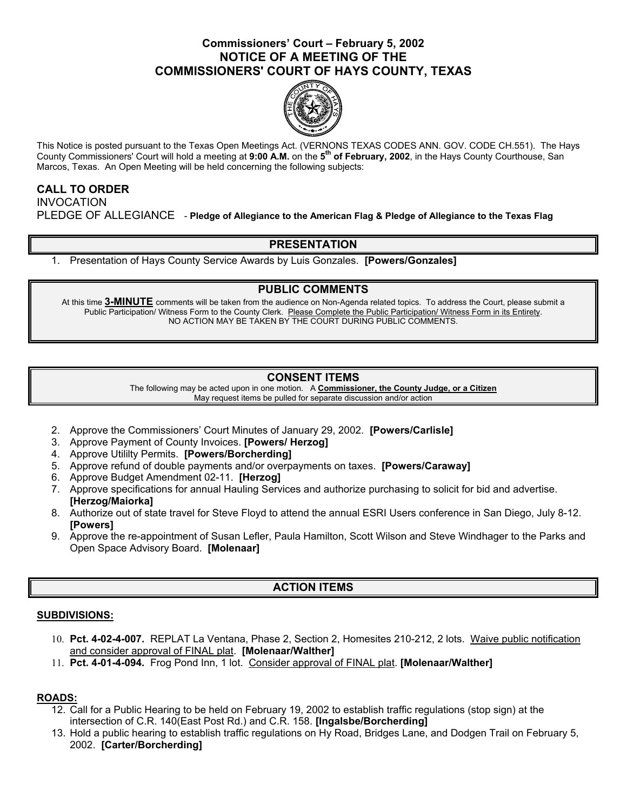# **Commissioners' Court – February 5, 2002 NOTICE OF A MEETING OF THE COMMISSIONERS' COURT OF HAYS COUNTY, TEXAS**



This Notice is posted pursuant to the Texas Open Meetings Act. (VERNONS TEXAS CODES ANN. GOV. CODE CH.551). The Hays County Commissioners' Court will hold a meeting at **9:00 A.M.** on the **5th of February, 2002**, in the Hays County Courthouse, San Marcos, Texas. An Open Meeting will be held concerning the following subjects:

## **CALL TO ORDER**

INVOCATION PLEDGE OF ALLEGIANCE - **Pledge of Allegiance to the American Flag & Pledge of Allegiance to the Texas Flag** 

## **PRESENTATION**

1. Presentation of Hays County Service Awards by Luis Gonzales. **[Powers/Gonzales]** 

### **PUBLIC COMMENTS**

At this time **3-MINUTE** comments will be taken from the audience on Non-Agenda related topics. To address the Court, please submit a Public Participation/ Witness Form to the County Clerk. Please Complete the Public Participation/ Witness Form in its Entirety. NO ACTION MAY BE TAKEN BY THE COURT DURING PUBLIC COMMENTS.

# **CONSENT ITEMS**

The following may be acted upon in one motion. A **Commissioner, the County Judge, or a Citizen** May request items be pulled for separate discussion and/or action

- 2. Approve the Commissioners' Court Minutes of January 29, 2002. **[Powers/Carlisle]**
- 3. Approve Payment of County Invoices. **[Powers/ Herzog]**
- 4. Approve Utililty Permits. **[Powers/Borcherding]**
- 5. Approve refund of double payments and/or overpayments on taxes. **[Powers/Caraway]**
- 6. Approve Budget Amendment 02-11. **[Herzog]**
- 7. Approve specifications for annual Hauling Services and authorize purchasing to solicit for bid and advertise. **[Herzog/Maiorka]**
- 8. Authorize out of state travel for Steve Floyd to attend the annual ESRI Users conference in San Diego, July 8-12. **[Powers]**
- 9. Approve the re-appointment of Susan Lefler, Paula Hamilton, Scott Wilson and Steve Windhager to the Parks and Open Space Advisory Board. **[Molenaar]**

# **ACTION ITEMS**

### **SUBDIVISIONS:**

- 10. **Pct. 4-02-4-007.** REPLAT La Ventana, Phase 2, Section 2, Homesites 210-212, 2 lots. Waive public notification and consider approval of FINAL plat. **[Molenaar/Walther]**
- 11. **Pct. 4-01-4-094.** Frog Pond Inn, 1 lot. Consider approval of FINAL plat. **[Molenaar/Walther]**

### **ROADS:**

- 12. Call for a Public Hearing to be held on February 19, 2002 to establish traffic regulations (stop sign) at the intersection of C.R. 140(East Post Rd.) and C.R. 158. **[Ingalsbe/Borcherding]**
- 13. Hold a public hearing to establish traffic regulations on Hy Road, Bridges Lane, and Dodgen Trail on February 5, 2002. **[Carter/Borcherding]**